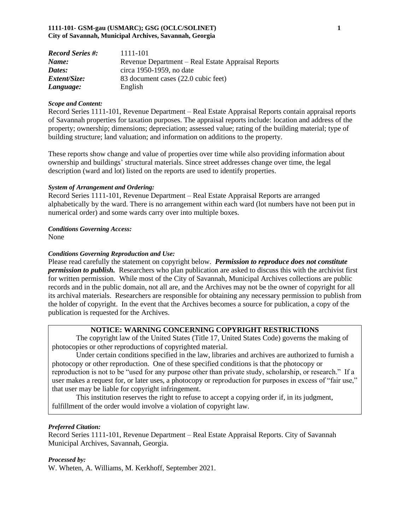#### **1111-101- GSM-gau (USMARC); GSG (OCLC/SOLINET) 1 City of Savannah, Municipal Archives, Savannah, Georgia**

| <b>Record Series #:</b> | 1111-101                                           |
|-------------------------|----------------------------------------------------|
| Name:                   | Revenue Department – Real Estate Appraisal Reports |
| Dates:                  | circa 1950-1959, no date                           |
| <i>Extent/Size:</i>     | 83 document cases (22.0 cubic feet)                |
| Language:               | English                                            |

#### *Scope and Content:*

Record Series 1111-101, Revenue Department – Real Estate Appraisal Reports contain appraisal reports of Savannah properties for taxation purposes. The appraisal reports include: location and address of the property; ownership; dimensions; depreciation; assessed value; rating of the building material; type of building structure; land valuation; and information on additions to the property.

These reports show change and value of properties over time while also providing information about ownership and buildings' structural materials. Since street addresses change over time, the legal description (ward and lot) listed on the reports are used to identify properties.

#### *System of Arrangement and Ordering:*

Record Series 1111-101, Revenue Department – Real Estate Appraisal Reports are arranged alphabetically by the ward. There is no arrangement within each ward (lot numbers have not been put in numerical order) and some wards carry over into multiple boxes.

#### *Conditions Governing Access:*

None

#### *Conditions Governing Reproduction and Use:*

Please read carefully the statement on copyright below. *Permission to reproduce does not constitute permission to publish.* Researchers who plan publication are asked to discuss this with the archivist first for written permission. While most of the City of Savannah, Municipal Archives collections are public records and in the public domain, not all are, and the Archives may not be the owner of copyright for all its archival materials. Researchers are responsible for obtaining any necessary permission to publish from the holder of copyright. In the event that the Archives becomes a source for publication, a copy of the publication is requested for the Archives.

#### **NOTICE: WARNING CONCERNING COPYRIGHT RESTRICTIONS**

The copyright law of the United States (Title 17, United States Code) governs the making of photocopies or other reproductions of copyrighted material.

Under certain conditions specified in the law, libraries and archives are authorized to furnish a photocopy or other reproduction. One of these specified conditions is that the photocopy or reproduction is not to be "used for any purpose other than private study, scholarship, or research." If a user makes a request for, or later uses, a photocopy or reproduction for purposes in excess of "fair use," that user may be liable for copyright infringement.

This institution reserves the right to refuse to accept a copying order if, in its judgment, fulfillment of the order would involve a violation of copyright law.

#### *Preferred Citation:*

Record Series 1111-101, Revenue Department – Real Estate Appraisal Reports. City of Savannah Municipal Archives, Savannah, Georgia.

#### *Processed by:*

W. Wheten, A. Williams, M. Kerkhoff, September 2021.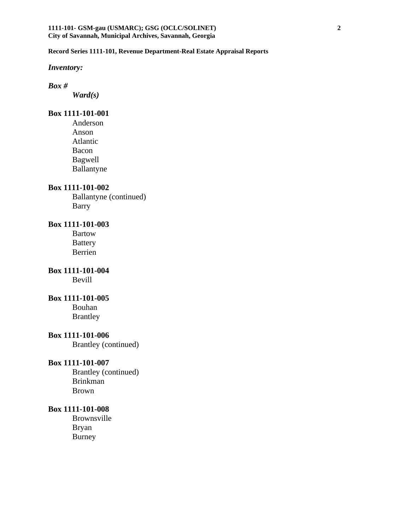*Inventory:*

### *Box #*

*Ward(s)*

## **Box 1111-101-001**

Anderson Anson Atlantic Bacon Bagwell Ballantyne

### **Box 1111-101-002**

Ballantyne (continued) Barry

### **Box 1111-101-003**

Bartow Battery Berrien

## **Box 1111-101-004**

Bevill

## **Box 1111-101-005**

Bouhan Brantley

## **Box 1111-101-006**

Brantley (continued)

### **Box 1111-101-007**

Brantley (continued) Brinkman Brown

### **Box 1111-101-008**

Brownsville Bryan Burney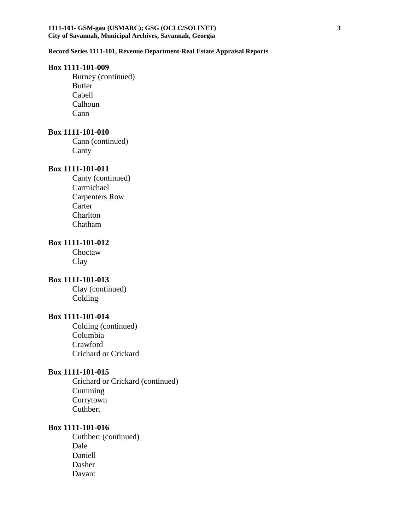#### **Box 1111-101-009**

Burney (continued) Butler Cabell Calhoun Cann

### **Box 1111-101-010**

Cann (continued) Canty

### **Box 1111-101-011**

Canty (continued) Carmichael Carpenters Row Carter Charlton Chatham

# **Box 1111-101-012**

Choctaw Clay

## **Box 1111-101-013**

Clay (continued) Colding

### **Box 1111-101-014**

Colding (continued) Columbia Crawford Crichard or Crickard

## **Box 1111-101-015**

Crichard or Crickard (continued) Cumming Currytown Cuthbert

### **Box 1111-101-016**

Cuthbert (continued) Dale Daniell Dasher Davant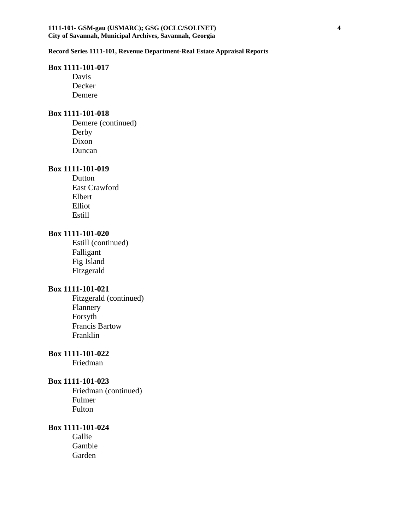### **Box 1111-101-017**

Davis Decker Demere

#### **Box 1111-101-018**

Demere (continued) Derby Dixon Duncan

### **Box 1111-101-019**

Dutton East Crawford Elbert Elliot Estill

### **Box 1111-101-020**

Estill (continued) Falligant Fig Island Fitzgerald

### **Box 1111-101-021**

Fitzgerald (continued) Flannery Forsyth Francis Bartow Franklin

# **Box 1111-101-022**

Friedman

#### **Box 1111-101-023**

Friedman (continued) Fulmer Fulton

## **Box 1111-101-024**

Gallie Gamble Garden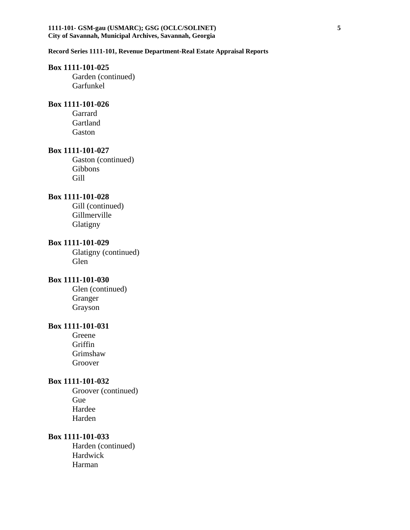#### **1111-101- GSM-gau (USMARC); GSG (OCLC/SOLINET) 5 City of Savannah, Municipal Archives, Savannah, Georgia**

#### **Record Series 1111-101, Revenue Department-Real Estate Appraisal Reports**

### **Box 1111-101-025**

Garden (continued) Garfunkel

## **Box 1111-101-026**

Garrard Gartland Gaston

#### **Box 1111-101-027**

Gaston (continued) Gibbons Gill

### **Box 1111-101-028**

Gill (continued) Gillmerville Glatigny

### **Box 1111-101-029**

Glatigny (continued) Glen

## **Box 1111-101-030**

Glen (continued) Granger Grayson

### **Box 1111-101-031**

Greene Griffin Grimshaw Groover

### **Box 1111-101-032**

Groover (continued) Gue Hardee Harden

### **Box 1111-101-033**

Harden (continued) Hardwick Harman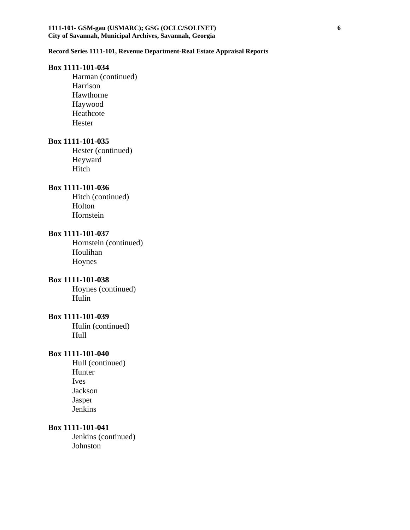#### **1111-101- GSM-gau (USMARC); GSG (OCLC/SOLINET) 6 City of Savannah, Municipal Archives, Savannah, Georgia**

#### **Record Series 1111-101, Revenue Department-Real Estate Appraisal Reports**

#### **Box 1111-101-034**

Harman (continued) Harrison Hawthorne Haywood Heathcote Hester

### **Box 1111-101-035**

Hester (continued) Heyward Hitch

### **Box 1111-101-036**

Hitch (continued) Holton Hornstein

### **Box 1111-101-037**

Hornstein (continued) Houlihan Hoynes

### **Box 1111-101-038**

Hoynes (continued) Hulin

#### **Box 1111-101-039**

Hulin (continued) Hull

### **Box 1111-101-040**

Hull (continued) Hunter Ives Jackson Jasper Jenkins

## **Box 1111-101-041**

Jenkins (continued) Johnston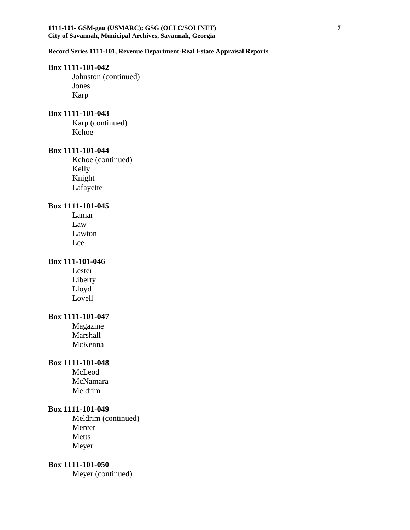### **Box 1111-101-042**

Johnston (continued) Jones Karp

#### **Box 1111-101-043**

Karp (continued) Kehoe

#### **Box 1111-101-044**

Kehoe (continued) Kelly Knight Lafayette

### **Box 1111-101-045**

Lamar Law Lawton Lee

## **Box 111-101-046**

Lester Liberty Lloyd Lovell

## **Box 1111-101-047**

Magazine Marshall McKenna

### **Box 1111-101-048**

McLeod McNamara Meldrim

### **Box 1111-101-049**

Meldrim (continued) Mercer Metts Meyer

## **Box 1111-101-050**

Meyer (continued)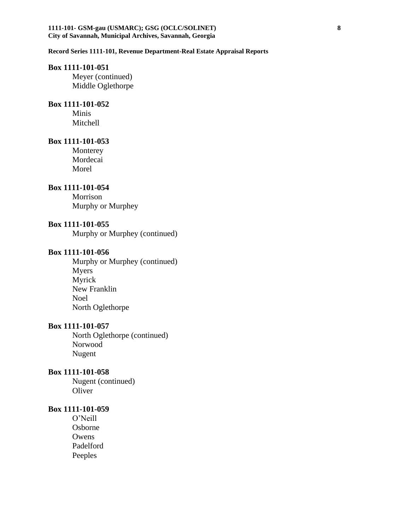#### **1111-101- GSM-gau (USMARC); GSG (OCLC/SOLINET) 8 City of Savannah, Municipal Archives, Savannah, Georgia**

#### **Record Series 1111-101, Revenue Department-Real Estate Appraisal Reports**

### **Box 1111-101-051**

Meyer (continued) Middle Oglethorpe

## **Box 1111-101-052**

Minis Mitchell

### **Box 1111-101-053**

Monterey Mordecai Morel

## **Box 1111-101-054**

Morrison Murphy or Murphey

## **Box 1111-101-055**

Murphy or Murphey (continued)

### **Box 1111-101-056**

Murphy or Murphey (continued) Myers Myrick New Franklin Noel North Oglethorpe

### **Box 1111-101-057**

North Oglethorpe (continued) Norwood Nugent

### **Box 1111-101-058**

Nugent (continued) **Oliver** 

### **Box 1111-101-059**

O'Neill Osborne **Owens** Padelford Peeples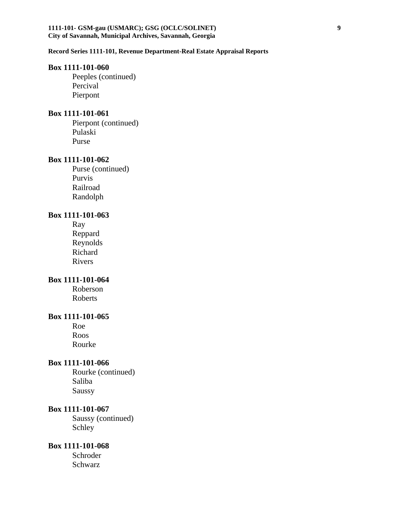#### **1111-101- GSM-gau (USMARC); GSG (OCLC/SOLINET) 9 City of Savannah, Municipal Archives, Savannah, Georgia**

#### **Record Series 1111-101, Revenue Department-Real Estate Appraisal Reports**

### **Box 1111-101-060**

Peeples (continued) Percival Pierpont

#### **Box 1111-101-061**

Pierpont (continued) Pulaski Purse

### **Box 1111-101-062**

Purse (continued) Purvis Railroad Randolph

### **Box 1111-101-063**

Ray Reppard Reynolds Richard Rivers

## **Box 1111-101-064**

Roberson Roberts

#### **Box 1111-101-065**

Roe Roos Rourke

#### **Box 1111-101-066**

Rourke (continued) Saliba Saussy

### **Box 1111-101-067**

Saussy (continued) Schley

# **Box 1111-101-068**

Schroder Schwarz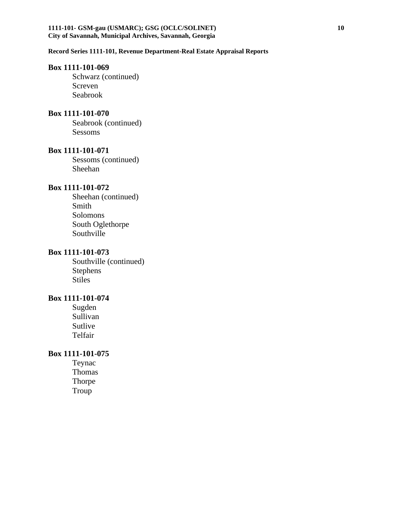#### **1111-101- GSM-gau (USMARC); GSG (OCLC/SOLINET) 10 City of Savannah, Municipal Archives, Savannah, Georgia**

### **Record Series 1111-101, Revenue Department-Real Estate Appraisal Reports**

#### **Box 1111-101-069**

Schwarz (continued) Screven Seabrook

#### **Box 1111-101-070**

Seabrook (continued) Sessoms

#### **Box 1111-101-071**

Sessoms (continued) Sheehan

## **Box 1111-101-072**

Sheehan (continued) Smith Solomons South Oglethorpe Southville

### **Box 1111-101-073**

Southville (continued) Stephens Stiles

# **Box 1111-101-074**

Sugden Sullivan Sutlive Telfair

### **Box 1111-101-075**

Teynac Thomas Thorpe Troup